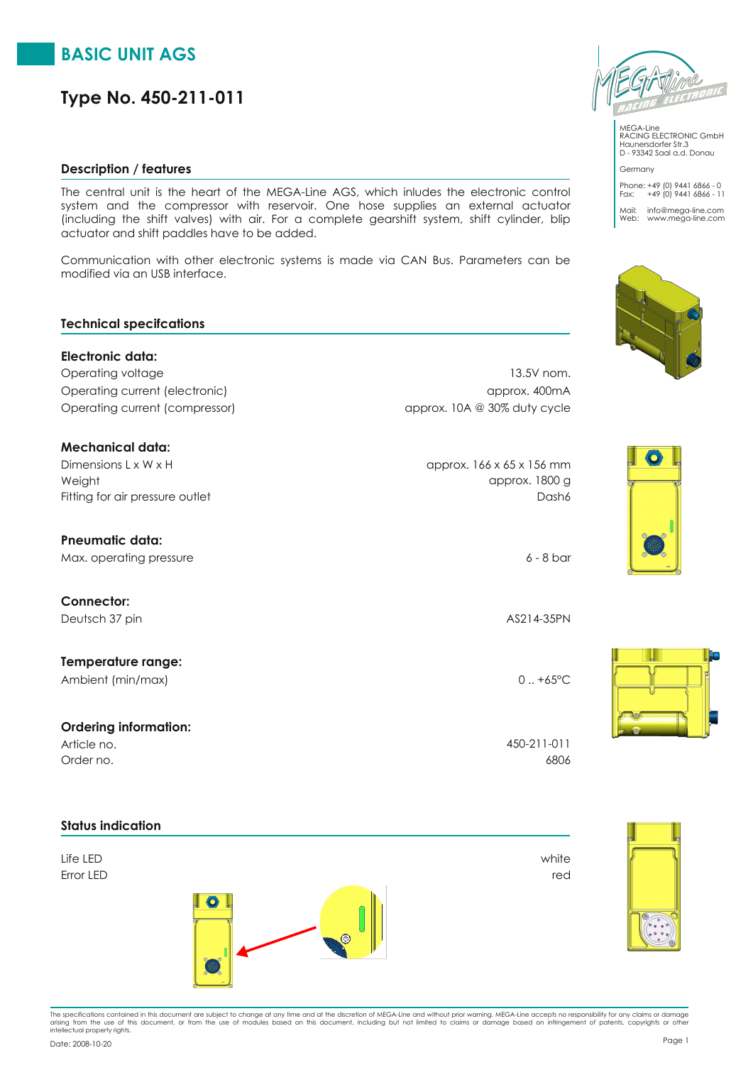# **BASIC UNIT AGS**

# **Type No. 450-211-011**

#### **Description / features**

The central unit is the heart of the MEGA-Line AGS, which inludes the electronic control system and the compressor with reservoir. One hose supplies an external actuator (including the shift valves) with air. For a complete gearshift system, shift cylinder, blip actuator and shift paddles have to be added.

Communication with other electronic systems is made via CAN Bus. Parameters can be modified via an USB interface.

#### **Technical specifcations**

**Electronic data:** Operating voltage 13.5V nom. Operating current (electronic) approx. 400mA Operating current (compressor) and approx. 10A @ 30% duty cycle

#### **Mechanical data:**

 $D$ imensions L x W x H  $\alpha$  by  $D$  approx. 166 x 65 x 156 mm Fitting for air pressure outlet **Dash6** Dash6 Weight approx. 1800 g

**Pneumatic data:**

Max. operating pressure 6 - 8 bar

**Connector:** Deutsch 37 pin AS214-35PN

**Temperature range:** Ambient (min/max) 0 ... +65°C

**Ordering information:**

# **Status indication**

Life LED white





MEGA-Line RACING ELECTRONIC GmbH Haunersdorfer Str.3 D - 93342 Saal a.d. Donau Germany

Phone: +49 (0) 9441 6866 - 0 Fax: +49 (0) 9441 6866 - 11 Mail: info@mega-line.com Web: www.mega-line.com







Order no. 6806 Article no. 450-211-011



The specifications contained in this document are subject to change at any time and at the discretion of MEGA-Line and without prior warning. MEGA-Line accepts no responsibility for any claims or damage<br>arising from the us

Page <sup>1</sup> Date: 2008-10-20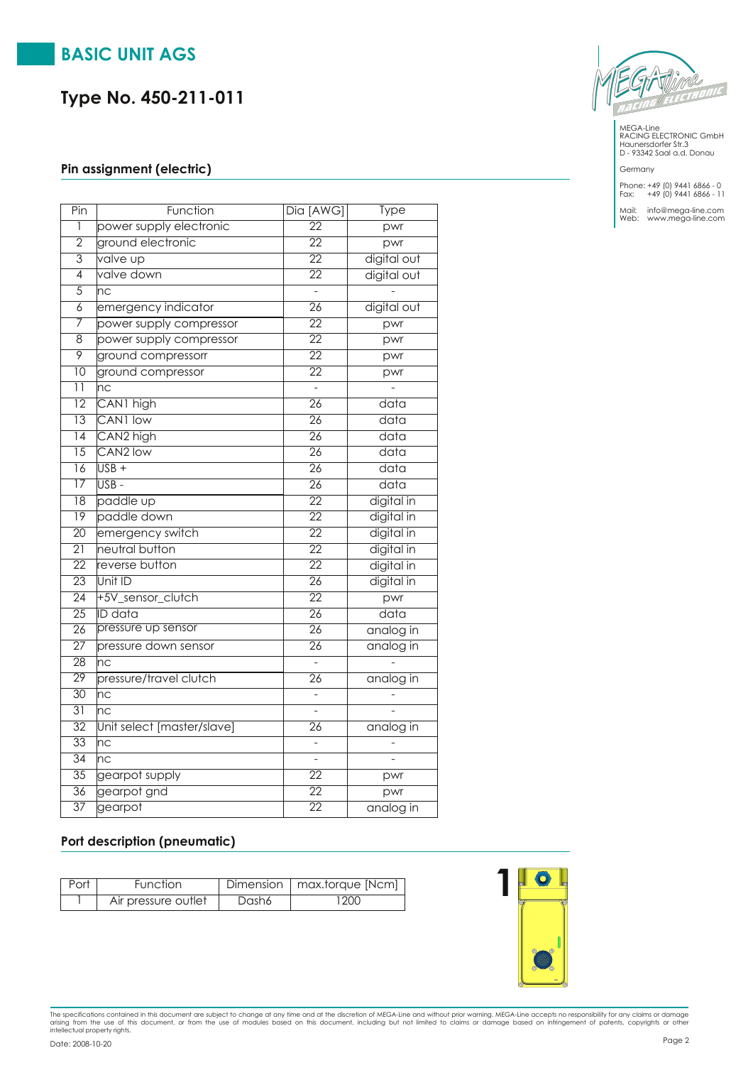# **BASIC UNIT AGS**

# **Type No. 450-211-011**

#### **Pin assignment (electric)**

| Pin             | Function                   | Dia [AWG]                | <b>Type</b>       |
|-----------------|----------------------------|--------------------------|-------------------|
| ī               | power supply electronic    | $\overline{22}$          | pwr               |
| $\overline{2}$  | ground electronic          | $\overline{22}$          | pwr               |
| $\overline{3}$  | valve up                   | $\overline{22}$          | digital out       |
| $\overline{4}$  | valve down                 | $\overline{22}$          | digital out       |
| $\overline{5}$  | nc                         | $\overline{\phantom{a}}$ |                   |
| $\overline{6}$  | emergency indicator        | $\overline{26}$          | digital out       |
| 7               | power supply compressor    | $\overline{22}$          | pwr               |
| $\overline{8}$  | power supply compressor    | $\overline{22}$          | pwr               |
| $\overline{9}$  | ground compressorr         | $\overline{22}$          | pwr               |
| $\overline{10}$ | ground compressor          | $\overline{22}$          | pwr               |
| $\overline{11}$ | n c                        |                          |                   |
| $\overline{12}$ | CAN1 high                  | $\overline{26}$          | data              |
| $\overline{13}$ | CAN1 low                   | $\overline{26}$          | data              |
| 14              | CAN <sub>2</sub> high      | $\overline{26}$          | data              |
| $\overline{15}$ | CAN <sub>2</sub> low       | $\overline{26}$          | data              |
| $\overline{16}$ | $USB +$                    | $\overline{26}$          | data              |
| $\overline{17}$ | USB -                      | $\overline{26}$          | $\overline{data}$ |
| $\overline{18}$ | paddle up                  | $\overline{22}$          | digital in        |
| $\overline{19}$ | paddle down                | $\overline{22}$          | digital in        |
| $\overline{20}$ | emergency switch           | $\overline{22}$          | digital in        |
| $\overline{21}$ | neutral button             | $\overline{22}$          | digital in        |
| $\overline{22}$ | reverse button             | $\overline{22}$          | digital in        |
| $\overline{23}$ | Unit ID                    | $\overline{26}$          | digital in        |
| $\overline{24}$ | +5V sensor clutch          | $\overline{22}$          | pwr               |
| $\overline{25}$ | <b>ID</b> data             | $\overline{26}$          | data              |
| $\overline{26}$ | pressure up sensor         | $\overline{26}$          | analog in         |
| $\overline{27}$ | pressure down sensor       | $\overline{26}$          | analog in         |
| 28              | nc                         |                          |                   |
| $\overline{29}$ | pressure/travel clutch     | $\overline{26}$          | analog in         |
| $\overline{30}$ | nc                         |                          |                   |
| $\overline{31}$ | $\overline{\textsf{nc}}$   | $\overline{a}$           |                   |
| $\overline{32}$ | Unit select [master/slave] | 26                       | analog in         |
| $\overline{33}$ | Inc                        | $\overline{a}$           |                   |
| $\overline{34}$ | nc                         | $\overline{a}$           |                   |
| $\overline{35}$ | gearpot supply             | $\overline{22}$          | pwr               |
| 36              | gearpot gnd                | $\overline{22}$          | pwr               |
| $\overline{37}$ | gearpot                    | $\overline{22}$          | analog in         |

MEGA-Line RACING ELECTRONIC GmbH Haunersdorfer Str.3 D - 93342 Saal a.d. Donau

#### Germany

Phone: +49 (0) 9441 6866 - 0 Fax: +49 (0) 9441 6866 - 11

Mail: info@mega-line.com Web: www.mega-line.com

#### **Port description (pneumatic)**

| Port | <b>Function</b>     |       | Dimension   max.torque [Ncm] |
|------|---------------------|-------|------------------------------|
|      | Air pressure outlet | Dash6 | 200                          |



The specifications contained in this document are subject to change at any time and at the discretion of MEGA-Line and without prior warning. MEGA-Line accepts no responsibility for any claims or damage<br>arising from the us Page <sup>2</sup> Date: 2008-10-20